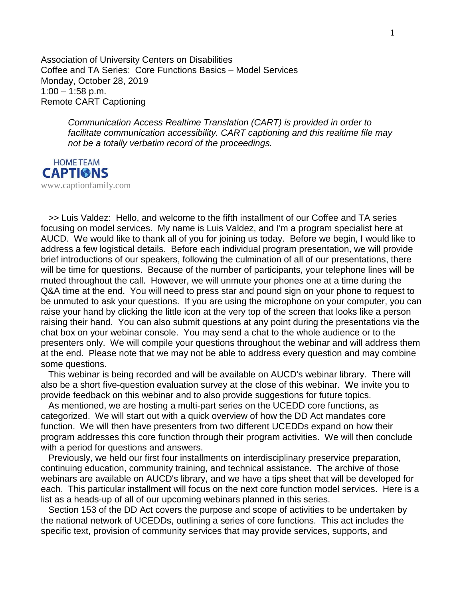Association of University Centers on Disabilities Coffee and TA Series: Core Functions Basics – Model Services Monday, October 28, 2019 1:00 – 1:58 p.m. Remote CART Captioning

> *Communication Access Realtime Translation (CART) is provided in order to facilitate communication accessibility. CART captioning and this realtime file may not be a totally verbatim record of the proceedings.*



 >> Luis Valdez: Hello, and welcome to the fifth installment of our Coffee and TA series focusing on model services. My name is Luis Valdez, and I'm a program specialist here at AUCD. We would like to thank all of you for joining us today. Before we begin, I would like to address a few logistical details. Before each individual program presentation, we will provide brief introductions of our speakers, following the culmination of all of our presentations, there will be time for questions. Because of the number of participants, your telephone lines will be muted throughout the call. However, we will unmute your phones one at a time during the Q&A time at the end. You will need to press star and pound sign on your phone to request to be unmuted to ask your questions. If you are using the microphone on your computer, you can raise your hand by clicking the little icon at the very top of the screen that looks like a person raising their hand. You can also submit questions at any point during the presentations via the chat box on your webinar console. You may send a chat to the whole audience or to the presenters only. We will compile your questions throughout the webinar and will address them at the end. Please note that we may not be able to address every question and may combine some questions.

 This webinar is being recorded and will be available on AUCD's webinar library. There will also be a short five-question evaluation survey at the close of this webinar. We invite you to provide feedback on this webinar and to also provide suggestions for future topics.

 As mentioned, we are hosting a multi-part series on the UCEDD core functions, as categorized. We will start out with a quick overview of how the DD Act mandates core function. We will then have presenters from two different UCEDDs expand on how their program addresses this core function through their program activities. We will then conclude with a period for questions and answers.

 Previously, we held our first four installments on interdisciplinary preservice preparation, continuing education, community training, and technical assistance. The archive of those webinars are available on AUCD's library, and we have a tips sheet that will be developed for each. This particular installment will focus on the next core function model services. Here is a list as a heads-up of all of our upcoming webinars planned in this series.

 Section 153 of the DD Act covers the purpose and scope of activities to be undertaken by the national network of UCEDDs, outlining a series of core functions. This act includes the specific text, provision of community services that may provide services, supports, and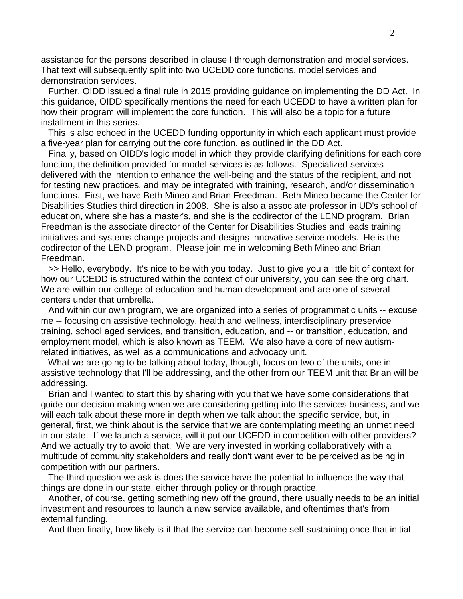assistance for the persons described in clause I through demonstration and model services. That text will subsequently split into two UCEDD core functions, model services and demonstration services.

 Further, OIDD issued a final rule in 2015 providing guidance on implementing the DD Act. In this guidance, OIDD specifically mentions the need for each UCEDD to have a written plan for how their program will implement the core function. This will also be a topic for a future installment in this series.

 This is also echoed in the UCEDD funding opportunity in which each applicant must provide a five-year plan for carrying out the core function, as outlined in the DD Act.

 Finally, based on OIDD's logic model in which they provide clarifying definitions for each core function, the definition provided for model services is as follows. Specialized services delivered with the intention to enhance the well-being and the status of the recipient, and not for testing new practices, and may be integrated with training, research, and/or dissemination functions. First, we have Beth Mineo and Brian Freedman. Beth Mineo became the Center for Disabilities Studies third direction in 2008. She is also a associate professor in UD's school of education, where she has a master's, and she is the codirector of the LEND program. Brian Freedman is the associate director of the Center for Disabilities Studies and leads training initiatives and systems change projects and designs innovative service models. He is the codirector of the LEND program. Please join me in welcoming Beth Mineo and Brian Freedman.

 >> Hello, everybody. It's nice to be with you today. Just to give you a little bit of context for how our UCEDD is structured within the context of our university, you can see the org chart. We are within our college of education and human development and are one of several centers under that umbrella.

 And within our own program, we are organized into a series of programmatic units -- excuse me -- focusing on assistive technology, health and wellness, interdisciplinary preservice training, school aged services, and transition, education, and -- or transition, education, and employment model, which is also known as TEEM. We also have a core of new autismrelated initiatives, as well as a communications and advocacy unit.

 What we are going to be talking about today, though, focus on two of the units, one in assistive technology that I'll be addressing, and the other from our TEEM unit that Brian will be addressing.

 Brian and I wanted to start this by sharing with you that we have some considerations that guide our decision making when we are considering getting into the services business, and we will each talk about these more in depth when we talk about the specific service, but, in general, first, we think about is the service that we are contemplating meeting an unmet need in our state. If we launch a service, will it put our UCEDD in competition with other providers? And we actually try to avoid that. We are very invested in working collaboratively with a multitude of community stakeholders and really don't want ever to be perceived as being in competition with our partners.

 The third question we ask is does the service have the potential to influence the way that things are done in our state, either through policy or through practice.

 Another, of course, getting something new off the ground, there usually needs to be an initial investment and resources to launch a new service available, and oftentimes that's from external funding.

And then finally, how likely is it that the service can become self-sustaining once that initial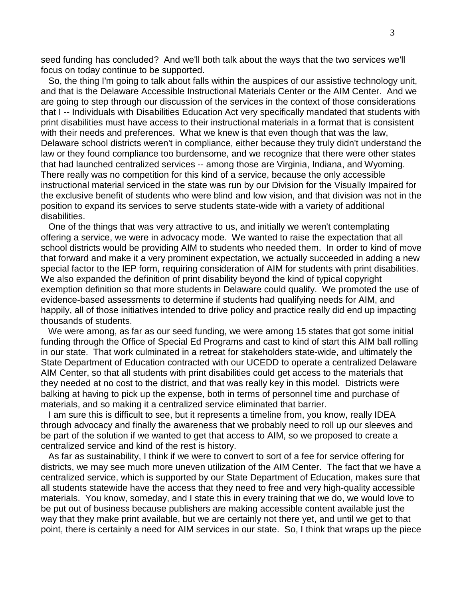seed funding has concluded? And we'll both talk about the ways that the two services we'll focus on today continue to be supported.

 So, the thing I'm going to talk about falls within the auspices of our assistive technology unit, and that is the Delaware Accessible Instructional Materials Center or the AIM Center. And we are going to step through our discussion of the services in the context of those considerations that I -- Individuals with Disabilities Education Act very specifically mandated that students with print disabilities must have access to their instructional materials in a format that is consistent with their needs and preferences. What we knew is that even though that was the law, Delaware school districts weren't in compliance, either because they truly didn't understand the law or they found compliance too burdensome, and we recognize that there were other states that had launched centralized services -- among those are Virginia, Indiana, and Wyoming. There really was no competition for this kind of a service, because the only accessible instructional material serviced in the state was run by our Division for the Visually Impaired for the exclusive benefit of students who were blind and low vision, and that division was not in the position to expand its services to serve students state-wide with a variety of additional disabilities.

 One of the things that was very attractive to us, and initially we weren't contemplating offering a service, we were in advocacy mode. We wanted to raise the expectation that all school districts would be providing AIM to students who needed them. In order to kind of move that forward and make it a very prominent expectation, we actually succeeded in adding a new special factor to the IEP form, requiring consideration of AIM for students with print disabilities. We also expanded the definition of print disability beyond the kind of typical copyright exemption definition so that more students in Delaware could qualify. We promoted the use of evidence-based assessments to determine if students had qualifying needs for AIM, and happily, all of those initiatives intended to drive policy and practice really did end up impacting thousands of students.

 We were among, as far as our seed funding, we were among 15 states that got some initial funding through the Office of Special Ed Programs and cast to kind of start this AIM ball rolling in our state. That work culminated in a retreat for stakeholders state-wide, and ultimately the State Department of Education contracted with our UCEDD to operate a centralized Delaware AIM Center, so that all students with print disabilities could get access to the materials that they needed at no cost to the district, and that was really key in this model. Districts were balking at having to pick up the expense, both in terms of personnel time and purchase of materials, and so making it a centralized service eliminated that barrier.

 I am sure this is difficult to see, but it represents a timeline from, you know, really IDEA through advocacy and finally the awareness that we probably need to roll up our sleeves and be part of the solution if we wanted to get that access to AIM, so we proposed to create a centralized service and kind of the rest is history.

 As far as sustainability, I think if we were to convert to sort of a fee for service offering for districts, we may see much more uneven utilization of the AIM Center. The fact that we have a centralized service, which is supported by our State Department of Education, makes sure that all students statewide have the access that they need to free and very high-quality accessible materials. You know, someday, and I state this in every training that we do, we would love to be put out of business because publishers are making accessible content available just the way that they make print available, but we are certainly not there yet, and until we get to that point, there is certainly a need for AIM services in our state. So, I think that wraps up the piece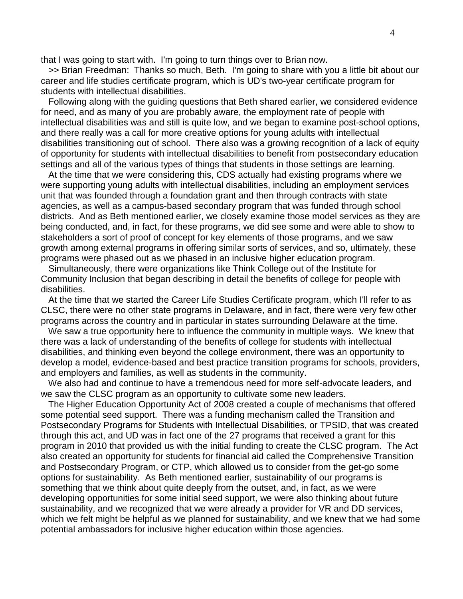that I was going to start with. I'm going to turn things over to Brian now.

 >> Brian Freedman: Thanks so much, Beth. I'm going to share with you a little bit about our career and life studies certificate program, which is UD's two-year certificate program for students with intellectual disabilities.

 Following along with the guiding questions that Beth shared earlier, we considered evidence for need, and as many of you are probably aware, the employment rate of people with intellectual disabilities was and still is quite low, and we began to examine post-school options, and there really was a call for more creative options for young adults with intellectual disabilities transitioning out of school. There also was a growing recognition of a lack of equity of opportunity for students with intellectual disabilities to benefit from postsecondary education settings and all of the various types of things that students in those settings are learning.

 At the time that we were considering this, CDS actually had existing programs where we were supporting young adults with intellectual disabilities, including an employment services unit that was founded through a foundation grant and then through contracts with state agencies, as well as a campus-based secondary program that was funded through school districts. And as Beth mentioned earlier, we closely examine those model services as they are being conducted, and, in fact, for these programs, we did see some and were able to show to stakeholders a sort of proof of concept for key elements of those programs, and we saw growth among external programs in offering similar sorts of services, and so, ultimately, these programs were phased out as we phased in an inclusive higher education program.

 Simultaneously, there were organizations like Think College out of the Institute for Community Inclusion that began describing in detail the benefits of college for people with disabilities.

 At the time that we started the Career Life Studies Certificate program, which I'll refer to as CLSC, there were no other state programs in Delaware, and in fact, there were very few other programs across the country and in particular in states surrounding Delaware at the time.

We saw a true opportunity here to influence the community in multiple ways. We knew that there was a lack of understanding of the benefits of college for students with intellectual disabilities, and thinking even beyond the college environment, there was an opportunity to develop a model, evidence-based and best practice transition programs for schools, providers, and employers and families, as well as students in the community.

 We also had and continue to have a tremendous need for more self-advocate leaders, and we saw the CLSC program as an opportunity to cultivate some new leaders.

 The Higher Education Opportunity Act of 2008 created a couple of mechanisms that offered some potential seed support. There was a funding mechanism called the Transition and Postsecondary Programs for Students with Intellectual Disabilities, or TPSID, that was created through this act, and UD was in fact one of the 27 programs that received a grant for this program in 2010 that provided us with the initial funding to create the CLSC program. The Act also created an opportunity for students for financial aid called the Comprehensive Transition and Postsecondary Program, or CTP, which allowed us to consider from the get-go some options for sustainability. As Beth mentioned earlier, sustainability of our programs is something that we think about quite deeply from the outset, and, in fact, as we were developing opportunities for some initial seed support, we were also thinking about future sustainability, and we recognized that we were already a provider for VR and DD services, which we felt might be helpful as we planned for sustainability, and we knew that we had some potential ambassadors for inclusive higher education within those agencies.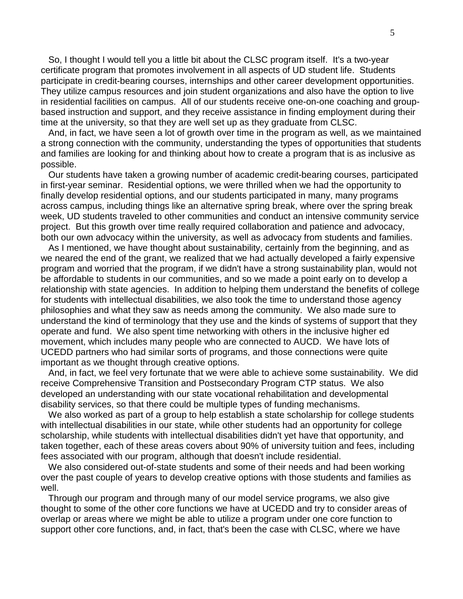So, I thought I would tell you a little bit about the CLSC program itself. It's a two-year certificate program that promotes involvement in all aspects of UD student life. Students participate in credit-bearing courses, internships and other career development opportunities. They utilize campus resources and join student organizations and also have the option to live in residential facilities on campus. All of our students receive one-on-one coaching and groupbased instruction and support, and they receive assistance in finding employment during their time at the university, so that they are well set up as they graduate from CLSC.

 And, in fact, we have seen a lot of growth over time in the program as well, as we maintained a strong connection with the community, understanding the types of opportunities that students and families are looking for and thinking about how to create a program that is as inclusive as possible.

 Our students have taken a growing number of academic credit-bearing courses, participated in first-year seminar. Residential options, we were thrilled when we had the opportunity to finally develop residential options, and our students participated in many, many programs across campus, including things like an alternative spring break, where over the spring break week, UD students traveled to other communities and conduct an intensive community service project. But this growth over time really required collaboration and patience and advocacy, both our own advocacy within the university, as well as advocacy from students and families.

 As I mentioned, we have thought about sustainability, certainly from the beginning, and as we neared the end of the grant, we realized that we had actually developed a fairly expensive program and worried that the program, if we didn't have a strong sustainability plan, would not be affordable to students in our communities, and so we made a point early on to develop a relationship with state agencies. In addition to helping them understand the benefits of college for students with intellectual disabilities, we also took the time to understand those agency philosophies and what they saw as needs among the community. We also made sure to understand the kind of terminology that they use and the kinds of systems of support that they operate and fund. We also spent time networking with others in the inclusive higher ed movement, which includes many people who are connected to AUCD. We have lots of UCEDD partners who had similar sorts of programs, and those connections were quite important as we thought through creative options.

 And, in fact, we feel very fortunate that we were able to achieve some sustainability. We did receive Comprehensive Transition and Postsecondary Program CTP status. We also developed an understanding with our state vocational rehabilitation and developmental disability services, so that there could be multiple types of funding mechanisms.

 We also worked as part of a group to help establish a state scholarship for college students with intellectual disabilities in our state, while other students had an opportunity for college scholarship, while students with intellectual disabilities didn't yet have that opportunity, and taken together, each of these areas covers about 90% of university tuition and fees, including fees associated with our program, although that doesn't include residential.

 We also considered out-of-state students and some of their needs and had been working over the past couple of years to develop creative options with those students and families as well.

 Through our program and through many of our model service programs, we also give thought to some of the other core functions we have at UCEDD and try to consider areas of overlap or areas where we might be able to utilize a program under one core function to support other core functions, and, in fact, that's been the case with CLSC, where we have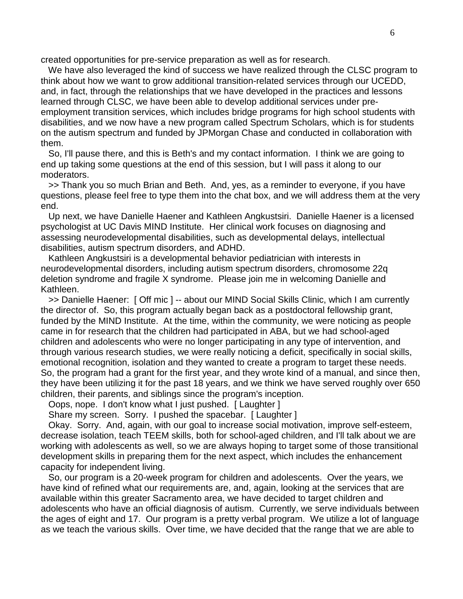created opportunities for pre-service preparation as well as for research.

 We have also leveraged the kind of success we have realized through the CLSC program to think about how we want to grow additional transition-related services through our UCEDD, and, in fact, through the relationships that we have developed in the practices and lessons learned through CLSC, we have been able to develop additional services under preemployment transition services, which includes bridge programs for high school students with disabilities, and we now have a new program called Spectrum Scholars, which is for students on the autism spectrum and funded by JPMorgan Chase and conducted in collaboration with them.

 So, I'll pause there, and this is Beth's and my contact information. I think we are going to end up taking some questions at the end of this session, but I will pass it along to our moderators.

 >> Thank you so much Brian and Beth. And, yes, as a reminder to everyone, if you have questions, please feel free to type them into the chat box, and we will address them at the very end.

 Up next, we have Danielle Haener and Kathleen Angkustsiri. Danielle Haener is a licensed psychologist at UC Davis MIND Institute. Her clinical work focuses on diagnosing and assessing neurodevelopmental disabilities, such as developmental delays, intellectual disabilities, autism spectrum disorders, and ADHD.

 Kathleen Angkustsiri is a developmental behavior pediatrician with interests in neurodevelopmental disorders, including autism spectrum disorders, chromosome 22q deletion syndrome and fragile X syndrome. Please join me in welcoming Danielle and Kathleen.

 >> Danielle Haener: [ Off mic ] -- about our MIND Social Skills Clinic, which I am currently the director of. So, this program actually began back as a postdoctoral fellowship grant, funded by the MIND Institute. At the time, within the community, we were noticing as people came in for research that the children had participated in ABA, but we had school-aged children and adolescents who were no longer participating in any type of intervention, and through various research studies, we were really noticing a deficit, specifically in social skills, emotional recognition, isolation and they wanted to create a program to target these needs. So, the program had a grant for the first year, and they wrote kind of a manual, and since then, they have been utilizing it for the past 18 years, and we think we have served roughly over 650 children, their parents, and siblings since the program's inception.

Oops, nope. I don't know what I just pushed. [ Laughter ]

Share my screen. Sorry. I pushed the spacebar. [Laughter]

 Okay. Sorry. And, again, with our goal to increase social motivation, improve self-esteem, decrease isolation, teach TEEM skills, both for school-aged children, and I'll talk about we are working with adolescents as well, so we are always hoping to target some of those transitional development skills in preparing them for the next aspect, which includes the enhancement capacity for independent living.

 So, our program is a 20-week program for children and adolescents. Over the years, we have kind of refined what our requirements are, and, again, looking at the services that are available within this greater Sacramento area, we have decided to target children and adolescents who have an official diagnosis of autism. Currently, we serve individuals between the ages of eight and 17. Our program is a pretty verbal program. We utilize a lot of language as we teach the various skills. Over time, we have decided that the range that we are able to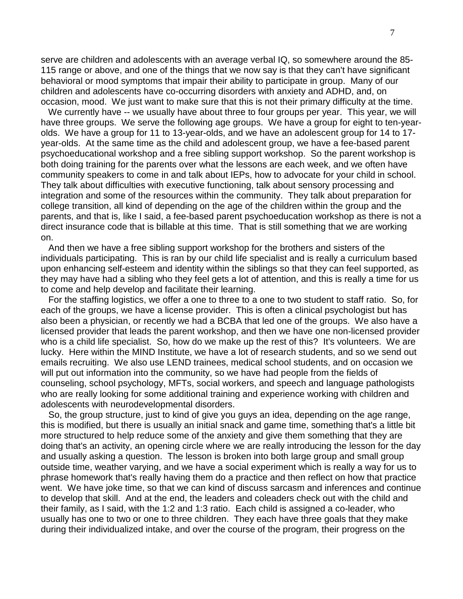serve are children and adolescents with an average verbal IQ, so somewhere around the 85- 115 range or above, and one of the things that we now say is that they can't have significant behavioral or mood symptoms that impair their ability to participate in group. Many of our children and adolescents have co-occurring disorders with anxiety and ADHD, and, on occasion, mood. We just want to make sure that this is not their primary difficulty at the time.

We currently have -- we usually have about three to four groups per year. This year, we will have three groups. We serve the following age groups. We have a group for eight to ten-yearolds. We have a group for 11 to 13-year-olds, and we have an adolescent group for 14 to 17 year-olds. At the same time as the child and adolescent group, we have a fee-based parent psychoeducational workshop and a free sibling support workshop. So the parent workshop is both doing training for the parents over what the lessons are each week, and we often have community speakers to come in and talk about IEPs, how to advocate for your child in school. They talk about difficulties with executive functioning, talk about sensory processing and integration and some of the resources within the community. They talk about preparation for college transition, all kind of depending on the age of the children within the group and the parents, and that is, like I said, a fee-based parent psychoeducation workshop as there is not a direct insurance code that is billable at this time. That is still something that we are working on.

 And then we have a free sibling support workshop for the brothers and sisters of the individuals participating. This is ran by our child life specialist and is really a curriculum based upon enhancing self-esteem and identity within the siblings so that they can feel supported, as they may have had a sibling who they feel gets a lot of attention, and this is really a time for us to come and help develop and facilitate their learning.

 For the staffing logistics, we offer a one to three to a one to two student to staff ratio. So, for each of the groups, we have a license provider. This is often a clinical psychologist but has also been a physician, or recently we had a BCBA that led one of the groups. We also have a licensed provider that leads the parent workshop, and then we have one non-licensed provider who is a child life specialist. So, how do we make up the rest of this? It's volunteers. We are lucky. Here within the MIND Institute, we have a lot of research students, and so we send out emails recruiting. We also use LEND trainees, medical school students, and on occasion we will put out information into the community, so we have had people from the fields of counseling, school psychology, MFTs, social workers, and speech and language pathologists who are really looking for some additional training and experience working with children and adolescents with neurodevelopmental disorders.

 So, the group structure, just to kind of give you guys an idea, depending on the age range, this is modified, but there is usually an initial snack and game time, something that's a little bit more structured to help reduce some of the anxiety and give them something that they are doing that's an activity, an opening circle where we are really introducing the lesson for the day and usually asking a question. The lesson is broken into both large group and small group outside time, weather varying, and we have a social experiment which is really a way for us to phrase homework that's really having them do a practice and then reflect on how that practice went. We have joke time, so that we can kind of discuss sarcasm and inferences and continue to develop that skill. And at the end, the leaders and coleaders check out with the child and their family, as I said, with the 1:2 and 1:3 ratio. Each child is assigned a co-leader, who usually has one to two or one to three children. They each have three goals that they make during their individualized intake, and over the course of the program, their progress on the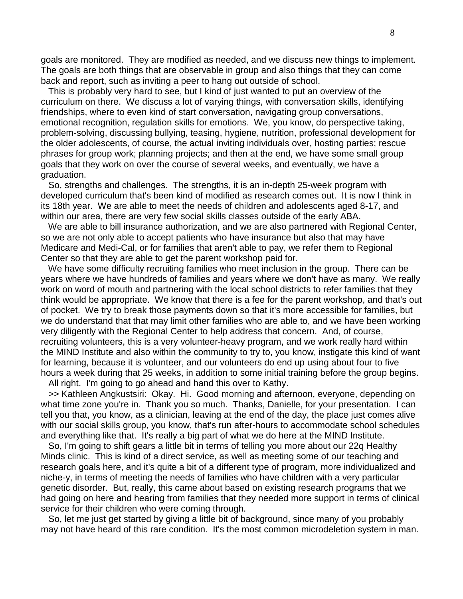goals are monitored. They are modified as needed, and we discuss new things to implement. The goals are both things that are observable in group and also things that they can come back and report, such as inviting a peer to hang out outside of school.

 This is probably very hard to see, but I kind of just wanted to put an overview of the curriculum on there. We discuss a lot of varying things, with conversation skills, identifying friendships, where to even kind of start conversation, navigating group conversations, emotional recognition, regulation skills for emotions. We, you know, do perspective taking, problem-solving, discussing bullying, teasing, hygiene, nutrition, professional development for the older adolescents, of course, the actual inviting individuals over, hosting parties; rescue phrases for group work; planning projects; and then at the end, we have some small group goals that they work on over the course of several weeks, and eventually, we have a graduation.

 So, strengths and challenges. The strengths, it is an in-depth 25-week program with developed curriculum that's been kind of modified as research comes out. It is now I think in its 18th year. We are able to meet the needs of children and adolescents aged 8-17, and within our area, there are very few social skills classes outside of the early ABA.

 We are able to bill insurance authorization, and we are also partnered with Regional Center, so we are not only able to accept patients who have insurance but also that may have Medicare and Medi-Cal, or for families that aren't able to pay, we refer them to Regional Center so that they are able to get the parent workshop paid for.

 We have some difficulty recruiting families who meet inclusion in the group. There can be years where we have hundreds of families and years where we don't have as many. We really work on word of mouth and partnering with the local school districts to refer families that they think would be appropriate. We know that there is a fee for the parent workshop, and that's out of pocket. We try to break those payments down so that it's more accessible for families, but we do understand that that may limit other families who are able to, and we have been working very diligently with the Regional Center to help address that concern. And, of course, recruiting volunteers, this is a very volunteer-heavy program, and we work really hard within the MIND Institute and also within the community to try to, you know, instigate this kind of want for learning, because it is volunteer, and our volunteers do end up using about four to five hours a week during that 25 weeks, in addition to some initial training before the group begins. All right. I'm going to go ahead and hand this over to Kathy.

 >> Kathleen Angkustsiri: Okay. Hi. Good morning and afternoon, everyone, depending on what time zone you're in. Thank you so much. Thanks, Danielle, for your presentation. I can tell you that, you know, as a clinician, leaving at the end of the day, the place just comes alive with our social skills group, you know, that's run after-hours to accommodate school schedules and everything like that. It's really a big part of what we do here at the MIND Institute.

 So, I'm going to shift gears a little bit in terms of telling you more about our 22q Healthy Minds clinic. This is kind of a direct service, as well as meeting some of our teaching and research goals here, and it's quite a bit of a different type of program, more individualized and niche-y, in terms of meeting the needs of families who have children with a very particular genetic disorder. But, really, this came about based on existing research programs that we had going on here and hearing from families that they needed more support in terms of clinical service for their children who were coming through.

 So, let me just get started by giving a little bit of background, since many of you probably may not have heard of this rare condition. It's the most common microdeletion system in man.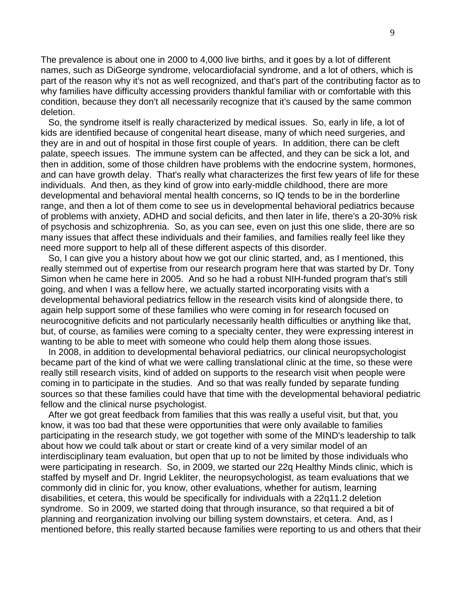The prevalence is about one in 2000 to 4,000 live births, and it goes by a lot of different names, such as DiGeorge syndrome, velocardiofacial syndrome, and a lot of others, which is part of the reason why it's not as well recognized, and that's part of the contributing factor as to why families have difficulty accessing providers thankful familiar with or comfortable with this condition, because they don't all necessarily recognize that it's caused by the same common deletion.

 So, the syndrome itself is really characterized by medical issues. So, early in life, a lot of kids are identified because of congenital heart disease, many of which need surgeries, and they are in and out of hospital in those first couple of years. In addition, there can be cleft palate, speech issues. The immune system can be affected, and they can be sick a lot, and then in addition, some of those children have problems with the endocrine system, hormones, and can have growth delay. That's really what characterizes the first few years of life for these individuals. And then, as they kind of grow into early-middle childhood, there are more developmental and behavioral mental health concerns, so IQ tends to be in the borderline range, and then a lot of them come to see us in developmental behavioral pediatrics because of problems with anxiety, ADHD and social deficits, and then later in life, there's a 20-30% risk of psychosis and schizophrenia. So, as you can see, even on just this one slide, there are so many issues that affect these individuals and their families, and families really feel like they need more support to help all of these different aspects of this disorder.

 So, I can give you a history about how we got our clinic started, and, as I mentioned, this really stemmed out of expertise from our research program here that was started by Dr. Tony Simon when he came here in 2005. And so he had a robust NIH-funded program that's still going, and when I was a fellow here, we actually started incorporating visits with a developmental behavioral pediatrics fellow in the research visits kind of alongside there, to again help support some of these families who were coming in for research focused on neurocognitive deficits and not particularly necessarily health difficulties or anything like that, but, of course, as families were coming to a specialty center, they were expressing interest in wanting to be able to meet with someone who could help them along those issues.

 In 2008, in addition to developmental behavioral pediatrics, our clinical neuropsychologist became part of the kind of what we were calling translational clinic at the time, so these were really still research visits, kind of added on supports to the research visit when people were coming in to participate in the studies. And so that was really funded by separate funding sources so that these families could have that time with the developmental behavioral pediatric fellow and the clinical nurse psychologist.

 After we got great feedback from families that this was really a useful visit, but that, you know, it was too bad that these were opportunities that were only available to families participating in the research study, we got together with some of the MIND's leadership to talk about how we could talk about or start or create kind of a very similar model of an interdisciplinary team evaluation, but open that up to not be limited by those individuals who were participating in research. So, in 2009, we started our 22q Healthy Minds clinic, which is staffed by myself and Dr. Ingrid Lekliter, the neuropsychologist, as team evaluations that we commonly did in clinic for, you know, other evaluations, whether for autism, learning disabilities, et cetera, this would be specifically for individuals with a 22q11.2 deletion syndrome. So in 2009, we started doing that through insurance, so that required a bit of planning and reorganization involving our billing system downstairs, et cetera. And, as I mentioned before, this really started because families were reporting to us and others that their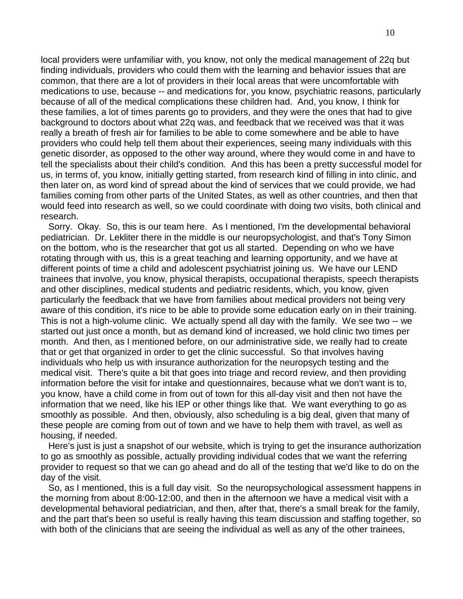local providers were unfamiliar with, you know, not only the medical management of 22q but finding individuals, providers who could them with the learning and behavior issues that are common, that there are a lot of providers in their local areas that were uncomfortable with medications to use, because -- and medications for, you know, psychiatric reasons, particularly because of all of the medical complications these children had. And, you know, I think for these families, a lot of times parents go to providers, and they were the ones that had to give background to doctors about what 22q was, and feedback that we received was that it was really a breath of fresh air for families to be able to come somewhere and be able to have providers who could help tell them about their experiences, seeing many individuals with this genetic disorder, as opposed to the other way around, where they would come in and have to tell the specialists about their child's condition. And this has been a pretty successful model for us, in terms of, you know, initially getting started, from research kind of filling in into clinic, and then later on, as word kind of spread about the kind of services that we could provide, we had families coming from other parts of the United States, as well as other countries, and then that would feed into research as well, so we could coordinate with doing two visits, both clinical and research.

 Sorry. Okay. So, this is our team here. As I mentioned, I'm the developmental behavioral pediatrician. Dr. Lekliter there in the middle is our neuropsychologist, and that's Tony Simon on the bottom, who is the researcher that got us all started. Depending on who we have rotating through with us, this is a great teaching and learning opportunity, and we have at different points of time a child and adolescent psychiatrist joining us. We have our LEND trainees that involve, you know, physical therapists, occupational therapists, speech therapists and other disciplines, medical students and pediatric residents, which, you know, given particularly the feedback that we have from families about medical providers not being very aware of this condition, it's nice to be able to provide some education early on in their training. This is not a high-volume clinic. We actually spend all day with the family. We see two -- we started out just once a month, but as demand kind of increased, we hold clinic two times per month. And then, as I mentioned before, on our administrative side, we really had to create that or get that organized in order to get the clinic successful. So that involves having individuals who help us with insurance authorization for the neuropsych testing and the medical visit. There's quite a bit that goes into triage and record review, and then providing information before the visit for intake and questionnaires, because what we don't want is to, you know, have a child come in from out of town for this all-day visit and then not have the information that we need, like his IEP or other things like that. We want everything to go as smoothly as possible. And then, obviously, also scheduling is a big deal, given that many of these people are coming from out of town and we have to help them with travel, as well as housing, if needed.

 Here's just is just a snapshot of our website, which is trying to get the insurance authorization to go as smoothly as possible, actually providing individual codes that we want the referring provider to request so that we can go ahead and do all of the testing that we'd like to do on the day of the visit.

 So, as I mentioned, this is a full day visit. So the neuropsychological assessment happens in the morning from about 8:00-12:00, and then in the afternoon we have a medical visit with a developmental behavioral pediatrician, and then, after that, there's a small break for the family, and the part that's been so useful is really having this team discussion and staffing together, so with both of the clinicians that are seeing the individual as well as any of the other trainees,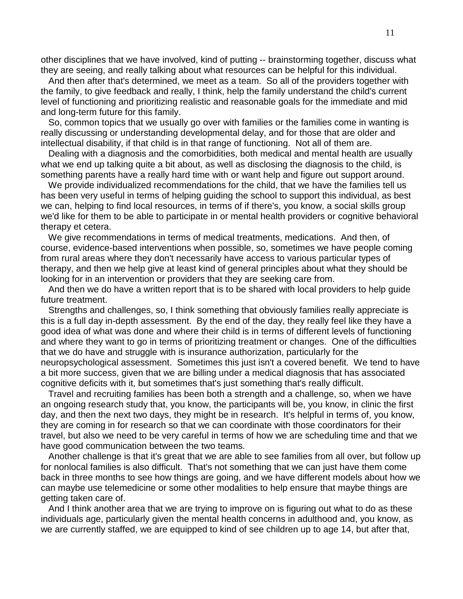other disciplines that we have involved, kind of putting -- brainstorming together, discuss what they are seeing, and really talking about what resources can be helpful for this individual.

 And then after that's determined, we meet as a team. So all of the providers together with the family, to give feedback and really, I think, help the family understand the child's current level of functioning and prioritizing realistic and reasonable goals for the immediate and mid and long-term future for this family.

 So, common topics that we usually go over with families or the families come in wanting is really discussing or understanding developmental delay, and for those that are older and intellectual disability, if that child is in that range of functioning. Not all of them are.

 Dealing with a diagnosis and the comorbidities, both medical and mental health are usually what we end up talking quite a bit about, as well as disclosing the diagnosis to the child, is something parents have a really hard time with or want help and figure out support around.

 We provide individualized recommendations for the child, that we have the families tell us has been very useful in terms of helping guiding the school to support this individual, as best we can, helping to find local resources, in terms of if there's, you know, a social skills group we'd like for them to be able to participate in or mental health providers or cognitive behavioral therapy et cetera.

 We give recommendations in terms of medical treatments, medications. And then, of course, evidence-based interventions when possible, so, sometimes we have people coming from rural areas where they don't necessarily have access to various particular types of therapy, and then we help give at least kind of general principles about what they should be looking for in an intervention or providers that they are seeking care from.

 And then we do have a written report that is to be shared with local providers to help guide future treatment.

 Strengths and challenges, so, I think something that obviously families really appreciate is this is a full day in-depth assessment. By the end of the day, they really feel like they have a good idea of what was done and where their child is in terms of different levels of functioning and where they want to go in terms of prioritizing treatment or changes. One of the difficulties that we do have and struggle with is insurance authorization, particularly for the neuropsychological assessment. Sometimes this just isn't a covered benefit. We tend to have a bit more success, given that we are billing under a medical diagnosis that has associated cognitive deficits with it, but sometimes that's just something that's really difficult.

 Travel and recruiting families has been both a strength and a challenge, so, when we have an ongoing research study that, you know, the participants will be, you know, in clinic the first day, and then the next two days, they might be in research. It's helpful in terms of, you know, they are coming in for research so that we can coordinate with those coordinators for their travel, but also we need to be very careful in terms of how we are scheduling time and that we have good communication between the two teams.

 Another challenge is that it's great that we are able to see families from all over, but follow up for nonlocal families is also difficult. That's not something that we can just have them come back in three months to see how things are going, and we have different models about how we can maybe use telemedicine or some other modalities to help ensure that maybe things are getting taken care of.

 And I think another area that we are trying to improve on is figuring out what to do as these individuals age, particularly given the mental health concerns in adulthood and, you know, as we are currently staffed, we are equipped to kind of see children up to age 14, but after that,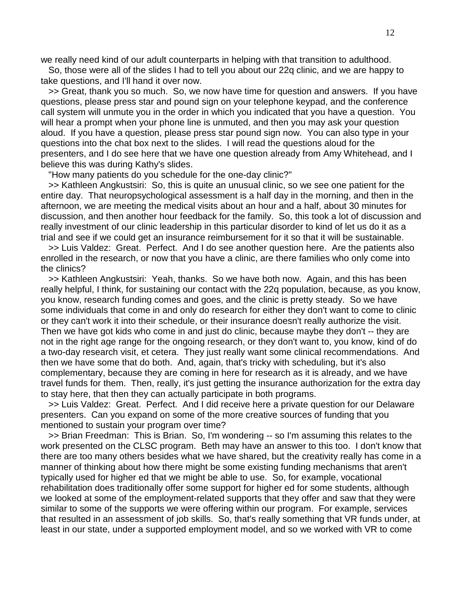we really need kind of our adult counterparts in helping with that transition to adulthood.

 So, those were all of the slides I had to tell you about our 22q clinic, and we are happy to take questions, and I'll hand it over now.

 >> Great, thank you so much. So, we now have time for question and answers. If you have questions, please press star and pound sign on your telephone keypad, and the conference call system will unmute you in the order in which you indicated that you have a question. You will hear a prompt when your phone line is unmuted, and then you may ask your question aloud. If you have a question, please press star pound sign now. You can also type in your questions into the chat box next to the slides. I will read the questions aloud for the presenters, and I do see here that we have one question already from Amy Whitehead, and I believe this was during Kathy's slides.

"How many patients do you schedule for the one-day clinic?"

 >> Kathleen Angkustsiri: So, this is quite an unusual clinic, so we see one patient for the entire day. That neuropsychological assessment is a half day in the morning, and then in the afternoon, we are meeting the medical visits about an hour and a half, about 30 minutes for discussion, and then another hour feedback for the family. So, this took a lot of discussion and really investment of our clinic leadership in this particular disorder to kind of let us do it as a trial and see if we could get an insurance reimbursement for it so that it will be sustainable.

 >> Luis Valdez: Great. Perfect. And I do see another question here. Are the patients also enrolled in the research, or now that you have a clinic, are there families who only come into the clinics?

 >> Kathleen Angkustsiri: Yeah, thanks. So we have both now. Again, and this has been really helpful, I think, for sustaining our contact with the 22q population, because, as you know, you know, research funding comes and goes, and the clinic is pretty steady. So we have some individuals that come in and only do research for either they don't want to come to clinic or they can't work it into their schedule, or their insurance doesn't really authorize the visit. Then we have got kids who come in and just do clinic, because maybe they don't -- they are not in the right age range for the ongoing research, or they don't want to, you know, kind of do a two-day research visit, et cetera. They just really want some clinical recommendations. And then we have some that do both. And, again, that's tricky with scheduling, but it's also complementary, because they are coming in here for research as it is already, and we have travel funds for them. Then, really, it's just getting the insurance authorization for the extra day to stay here, that then they can actually participate in both programs.

 >> Luis Valdez: Great. Perfect. And I did receive here a private question for our Delaware presenters. Can you expand on some of the more creative sources of funding that you mentioned to sustain your program over time?

 >> Brian Freedman: This is Brian. So, I'm wondering -- so I'm assuming this relates to the work presented on the CLSC program. Beth may have an answer to this too. I don't know that there are too many others besides what we have shared, but the creativity really has come in a manner of thinking about how there might be some existing funding mechanisms that aren't typically used for higher ed that we might be able to use. So, for example, vocational rehabilitation does traditionally offer some support for higher ed for some students, although we looked at some of the employment-related supports that they offer and saw that they were similar to some of the supports we were offering within our program. For example, services that resulted in an assessment of job skills. So, that's really something that VR funds under, at least in our state, under a supported employment model, and so we worked with VR to come